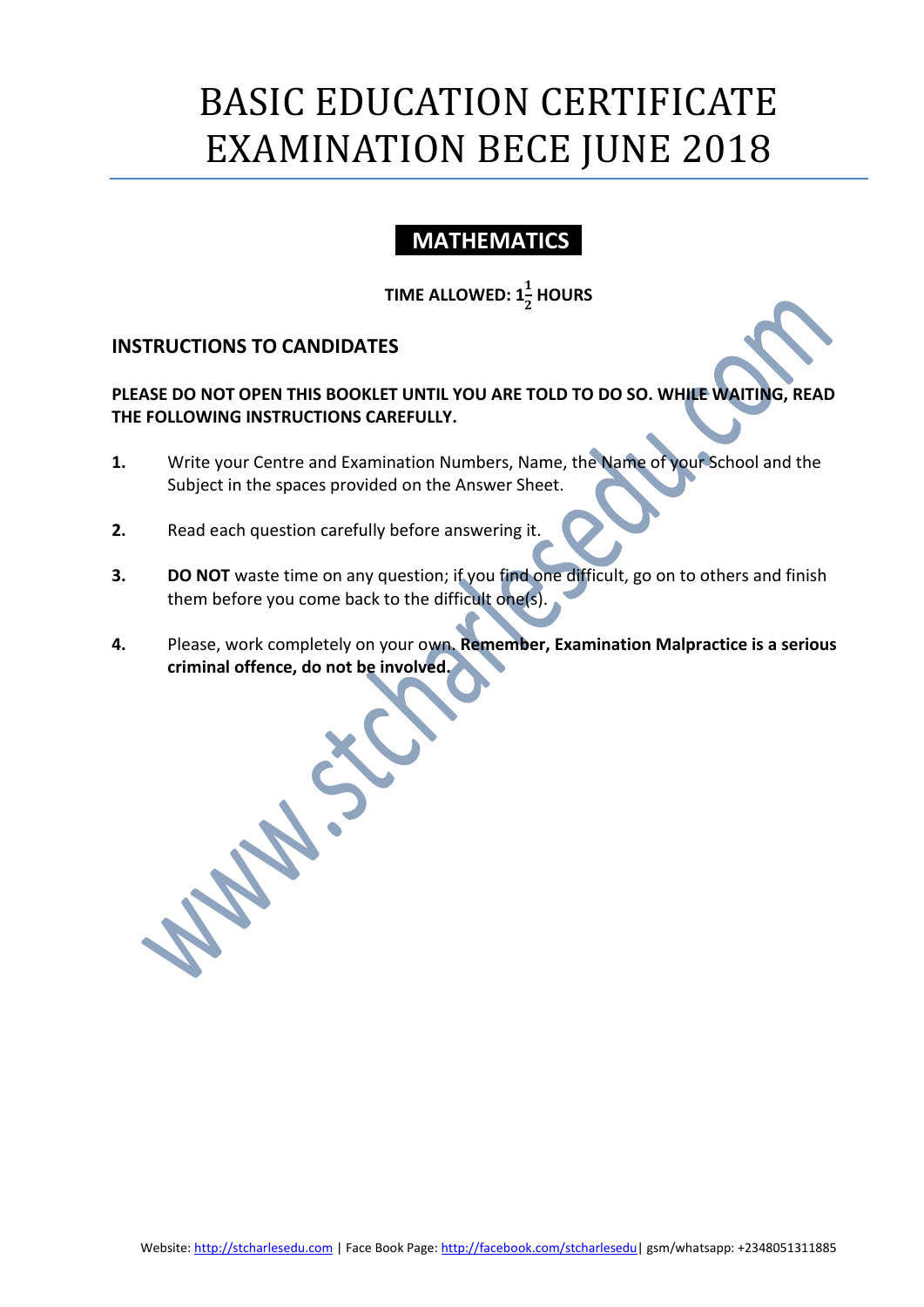# BASIC EDUCATION CERTIFICATE EXAMINATION BECE JUNE 2018

# **MATHEMATICS**

# TIME ALLOWED:  $1\frac{1}{2}$  HOURS

# INSTRUCTIONS TO CANDIDATES

PLEASE DO NOT OPEN THIS BOOKLET UNTIL YOU ARE TOLD TO DO SO. WHILE WAITING, READ THE FOLLOWING INSTRUCTIONS CAREFULLY.

- 1. Write your Centre and Examination Numbers, Name, the Name of your School and the Subject in the spaces provided on the Answer Sheet.
- 2. Read each question carefully before answering it.
- 3. DO NOT waste time on any question; if you find one difficult, go on to others and finish them before you come back to the difficult one(s).
- 4. Please, work completely on your own. Remember, Examination Malpractice is a serious criminal offence, do not be involved.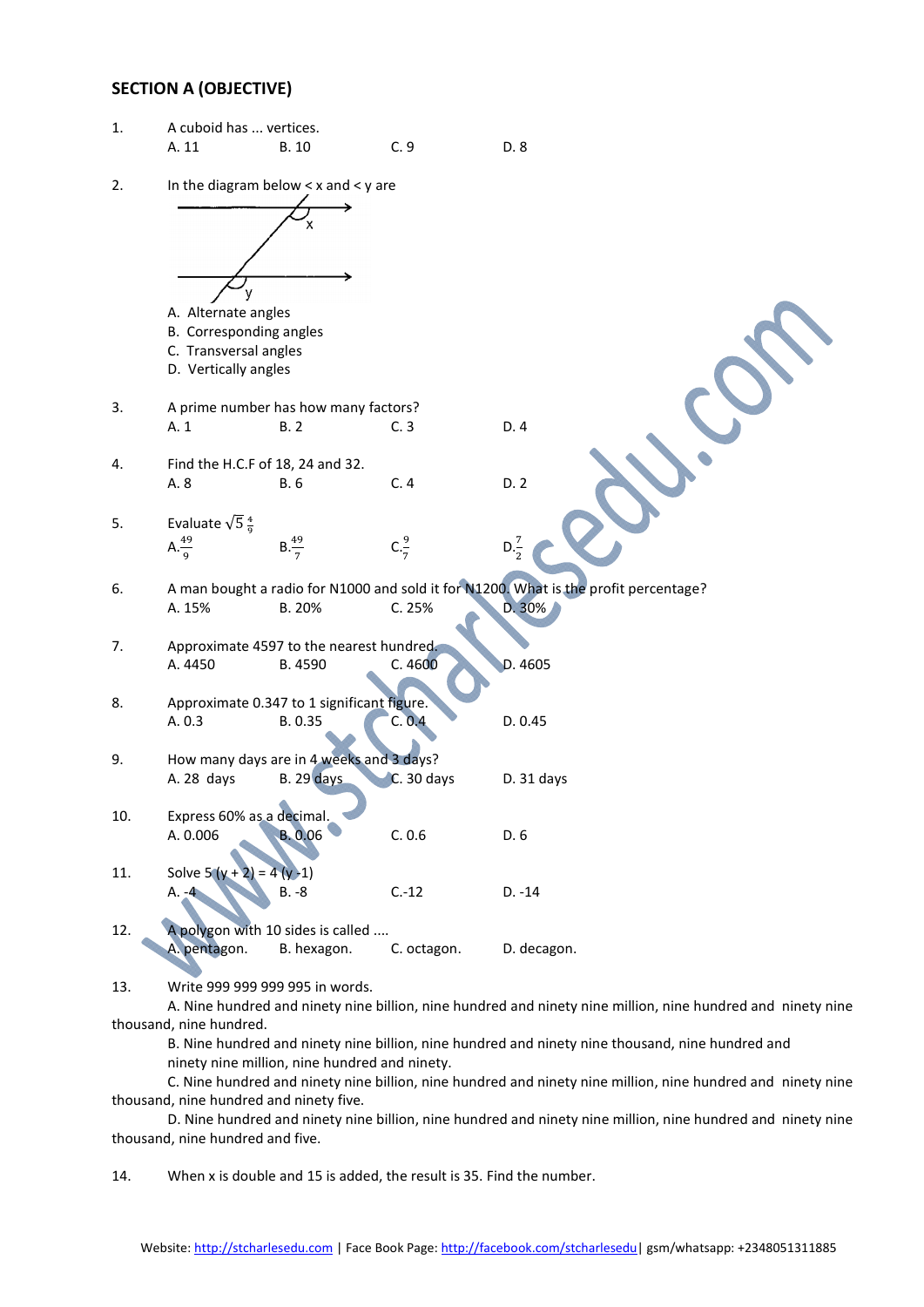#### SECTION A (OBJECTIVE)

| 1.  | A cuboid has  vertices.                       |                                            |                 |                                                                                                             |  |  |  |  |
|-----|-----------------------------------------------|--------------------------------------------|-----------------|-------------------------------------------------------------------------------------------------------------|--|--|--|--|
|     | A. 11                                         | <b>B.10</b>                                | C.9             | D. 8                                                                                                        |  |  |  |  |
| 2.  |                                               | In the diagram below $< x$ and $< y$ are   |                 |                                                                                                             |  |  |  |  |
|     |                                               |                                            |                 |                                                                                                             |  |  |  |  |
|     | A. Alternate angles                           |                                            |                 |                                                                                                             |  |  |  |  |
|     | B. Corresponding angles                       |                                            |                 |                                                                                                             |  |  |  |  |
|     | C. Transversal angles<br>D. Vertically angles |                                            |                 |                                                                                                             |  |  |  |  |
|     |                                               |                                            |                 |                                                                                                             |  |  |  |  |
| 3.  |                                               | A prime number has how many factors?       |                 |                                                                                                             |  |  |  |  |
|     | A. 1                                          | <b>B.2</b>                                 | C.3             | D.4                                                                                                         |  |  |  |  |
|     |                                               |                                            |                 |                                                                                                             |  |  |  |  |
| 4.  | Find the H.C.F of 18, 24 and 32.              |                                            |                 |                                                                                                             |  |  |  |  |
|     | A. 8                                          | <b>B.6</b>                                 | C.4             | D.2                                                                                                         |  |  |  |  |
| 5.  | Evaluate $\sqrt{5}\frac{4}{9}$                |                                            |                 |                                                                                                             |  |  |  |  |
|     | $A.\frac{49}{9}$                              |                                            | $C.\frac{9}{7}$ |                                                                                                             |  |  |  |  |
|     |                                               | $B.\frac{49}{7}$                           |                 | $D.\frac{7}{2}$                                                                                             |  |  |  |  |
| 6.  |                                               |                                            |                 | A man bought a radio for N1000 and sold it for N1200. What is the profit percentage?                        |  |  |  |  |
|     | A. 15%                                        | B. 20%                                     | C. 25%          | D. 30%                                                                                                      |  |  |  |  |
|     |                                               |                                            |                 |                                                                                                             |  |  |  |  |
| 7.  |                                               | Approximate 4597 to the nearest hundred.   |                 |                                                                                                             |  |  |  |  |
|     | A. 4450                                       | B. 4590                                    | C.4600          | D. 4605                                                                                                     |  |  |  |  |
|     |                                               |                                            |                 |                                                                                                             |  |  |  |  |
| 8.  |                                               | Approximate 0.347 to 1 significant figure. |                 |                                                                                                             |  |  |  |  |
|     | A. 0.3                                        | B. 0.35                                    | C. 0.4          | D. 0.45                                                                                                     |  |  |  |  |
| 9.  |                                               | How many days are in 4 weeks and 3 days?   |                 |                                                                                                             |  |  |  |  |
|     | A. 28 days                                    | <b>B. 29 days</b>                          | $C.30$ days     | D. 31 days                                                                                                  |  |  |  |  |
|     |                                               |                                            |                 |                                                                                                             |  |  |  |  |
| 10. | Express 60% as a decimal.                     |                                            |                 |                                                                                                             |  |  |  |  |
|     | A. 0.006                                      | <b>B.</b> 0.06                             | C. 0.6          | D. 6                                                                                                        |  |  |  |  |
|     |                                               |                                            |                 |                                                                                                             |  |  |  |  |
| 11. | Solve $5(y +$                                 | $4(y-1)$<br>$B. -8$                        | $C.-12$         | $D. -14$                                                                                                    |  |  |  |  |
|     | $A. -4$                                       |                                            |                 |                                                                                                             |  |  |  |  |
| 12. |                                               | A polygon with 10 sides is called          |                 |                                                                                                             |  |  |  |  |
|     | A. pentagon.                                  | B. hexagon.                                | C. octagon.     | D. decagon.                                                                                                 |  |  |  |  |
|     |                                               |                                            |                 |                                                                                                             |  |  |  |  |
| 13. |                                               | Write 999 999 999 995 in words.            |                 |                                                                                                             |  |  |  |  |
|     |                                               |                                            |                 | A. Nine hundred and ninety nine billion, nine hundred and ninety nine million, nine hundred and ninety nine |  |  |  |  |
|     | thousand, nine hundred.                       |                                            |                 |                                                                                                             |  |  |  |  |

B. Nine hundred and ninety nine billion, nine hundred and ninety nine thousand, nine hundred and ninety nine million, nine hundred and ninety.

C. Nine hundred and ninety nine billion, nine hundred and ninety nine million, nine hundred and ninety nine thousand, nine hundred and ninety five.

D. Nine hundred and ninety nine billion, nine hundred and ninety nine million, nine hundred and ninety nine thousand, nine hundred and five.

14. When x is double and 15 is added, the result is 35. Find the number.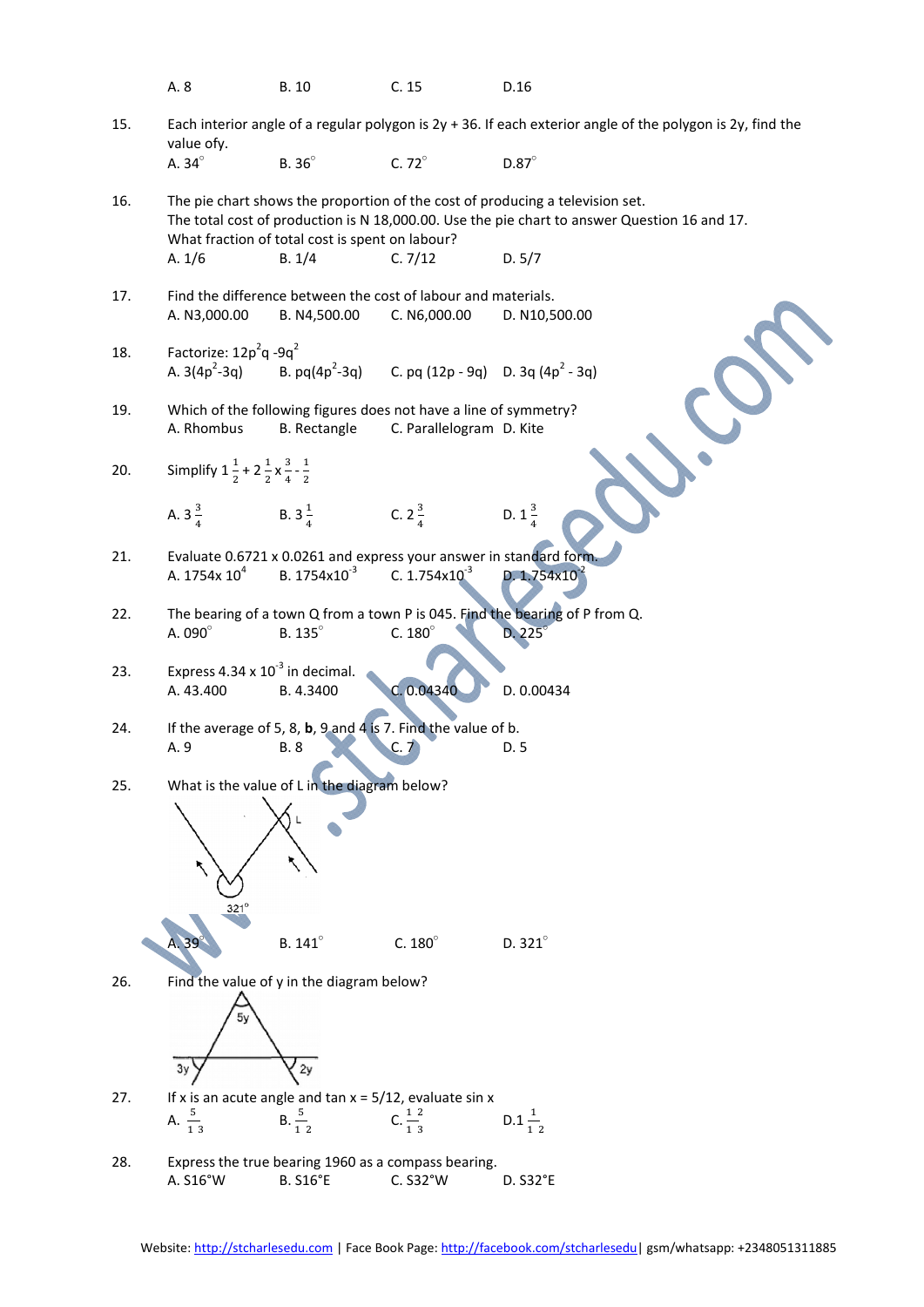|     | A. 8                                                                     | <b>B.10</b>                                                                             | C.15                                                                     | D.16                                                                                                                                                                          |
|-----|--------------------------------------------------------------------------|-----------------------------------------------------------------------------------------|--------------------------------------------------------------------------|-------------------------------------------------------------------------------------------------------------------------------------------------------------------------------|
| 15. | value ofy.                                                               |                                                                                         |                                                                          | Each interior angle of a regular polygon is $2y + 36$ . If each exterior angle of the polygon is $2y$ , find the                                                              |
|     | A. $34^\circ$                                                            | B. 36°                                                                                  | C. $72^\circ$                                                            | $D.87^\circ$                                                                                                                                                                  |
| 16. |                                                                          | What fraction of total cost is spent on labour?                                         |                                                                          | The pie chart shows the proportion of the cost of producing a television set.<br>The total cost of production is N 18,000.00. Use the pie chart to answer Question 16 and 17. |
|     | A. $1/6$                                                                 | B. 1/4                                                                                  | C.7/12                                                                   | D. 5/7                                                                                                                                                                        |
| 17. | A. N3,000.00                                                             | Find the difference between the cost of labour and materials.<br>B. N4,500.00           | C. N6,000.00                                                             | D. N10,500.00                                                                                                                                                                 |
| 18. | Factorize: 12p <sup>2</sup> q -9q <sup>2</sup>                           |                                                                                         |                                                                          |                                                                                                                                                                               |
|     | A. $3(4p^2-3q)$                                                          |                                                                                         | B. pq(4p <sup>2</sup> -3q) C. pq (12p - 9q) D. 3q (4p <sup>2</sup> - 3q) |                                                                                                                                                                               |
| 19. | A. Rhombus                                                               | Which of the following figures does not have a line of symmetry?<br><b>B.</b> Rectangle | C. Parallelogram D. Kite                                                 |                                                                                                                                                                               |
| 20. | Simplify $1\frac{1}{2}$ + $2\frac{1}{2}$ x $\frac{3}{4}$ - $\frac{1}{2}$ |                                                                                         |                                                                          |                                                                                                                                                                               |
|     | A. $3\frac{3}{4}$ B. $3\frac{1}{4}$                                      |                                                                                         | C. $2\frac{3}{4}$                                                        | D. $1\frac{3}{4}$                                                                                                                                                             |
| 21. |                                                                          | Evaluate 0.6721 x 0.0261 and express your answer in standard form.                      |                                                                          |                                                                                                                                                                               |
|     | A. 1754x $10^4$                                                          | B. 1754x10 <sup>-3</sup>                                                                | C. $1.754 \times 10^{-3}$                                                | D. 1.754x10                                                                                                                                                                   |
| 22. | A. 090°                                                                  | B. 135°                                                                                 | C. $180^\circ$                                                           | The bearing of a town Q from a town P is 045. Find the bearing of P from Q.<br>$D.225^\circ$                                                                                  |
| 23. | Express $4.34 \times 10^{-3}$ in decimal.<br>A. 43.400                   | B. 4.3400                                                                               | C. 0.04340                                                               | D. 0.00434                                                                                                                                                                    |
| 24. |                                                                          | If the average of 5, 8, b, 9 and 4 is 7. Find the value of b.                           |                                                                          |                                                                                                                                                                               |
|     | A. 9                                                                     | <b>B.</b> 8                                                                             |                                                                          | D. 5                                                                                                                                                                          |
| 25. |                                                                          | What is the value of L in the diagram below?                                            |                                                                          |                                                                                                                                                                               |
|     |                                                                          |                                                                                         |                                                                          |                                                                                                                                                                               |
|     |                                                                          |                                                                                         |                                                                          |                                                                                                                                                                               |
|     |                                                                          |                                                                                         |                                                                          |                                                                                                                                                                               |
|     | $321^\circ$                                                              |                                                                                         |                                                                          |                                                                                                                                                                               |
|     |                                                                          | B. 141°                                                                                 | C. $180^\circ$                                                           | D. $321^\circ$                                                                                                                                                                |
| 26. |                                                                          | Find the value of y in the diagram below?                                               |                                                                          |                                                                                                                                                                               |
|     |                                                                          |                                                                                         |                                                                          |                                                                                                                                                                               |
|     | 3y                                                                       | 2y                                                                                      |                                                                          |                                                                                                                                                                               |
| 27. |                                                                          | If x is an acute angle and tan $x = 5/12$ , evaluate sin x                              |                                                                          |                                                                                                                                                                               |
|     | A. $\frac{5}{13}$                                                        | $B. \frac{5}{12}$                                                                       | C. $\frac{1}{1}$ 3                                                       | $D.1\frac{1}{12}$                                                                                                                                                             |
| 28. |                                                                          | Express the true bearing 1960 as a compass bearing.                                     |                                                                          |                                                                                                                                                                               |
|     | A. S16°W                                                                 | <b>B. S16°E</b>                                                                         | C. S32°W                                                                 | D. S32°E                                                                                                                                                                      |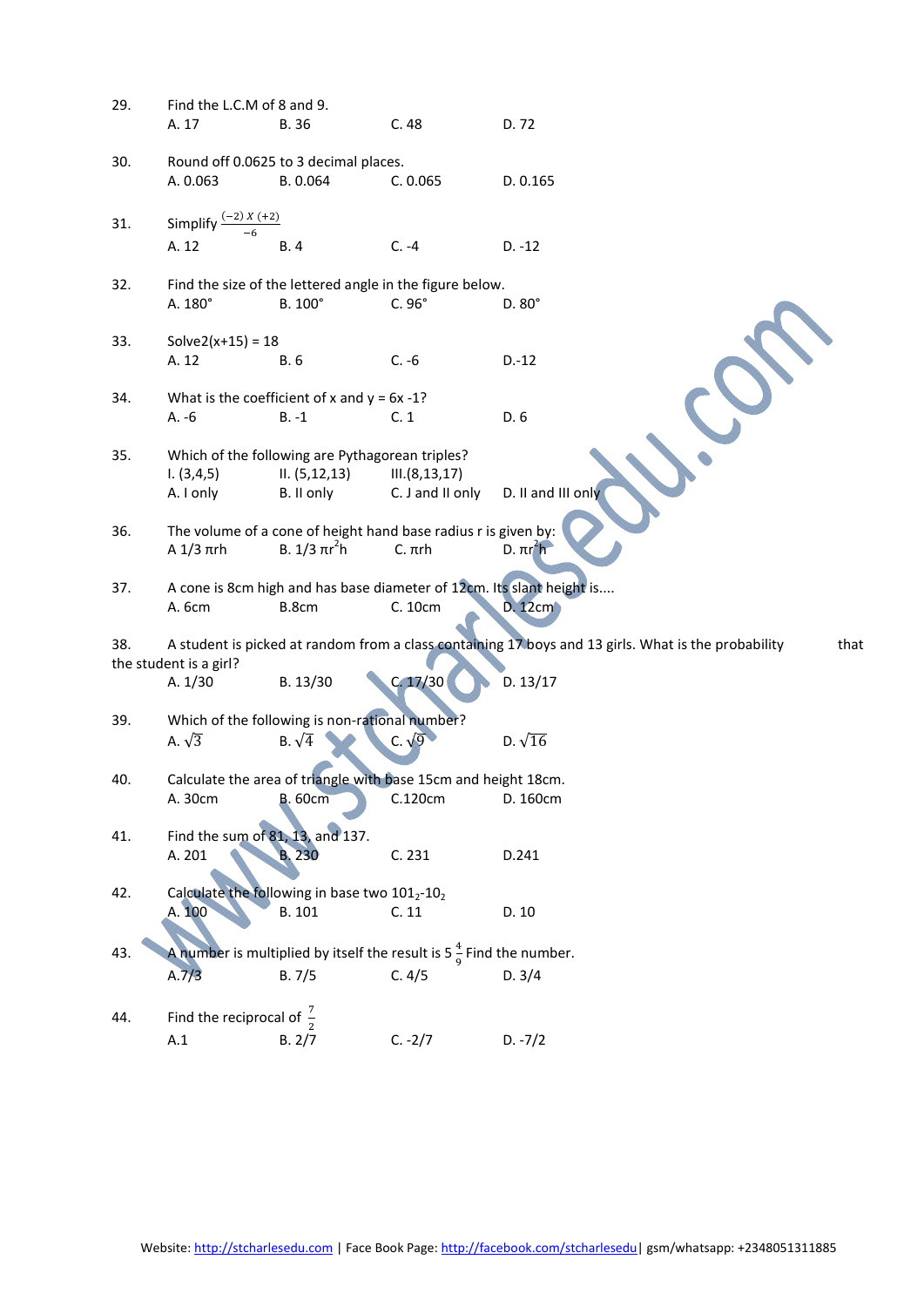| 29. | Find the L.C.M of 8 and 9.                                     |                                                                    |                                                                                 |                                                                                                             |  |  |  |  |
|-----|----------------------------------------------------------------|--------------------------------------------------------------------|---------------------------------------------------------------------------------|-------------------------------------------------------------------------------------------------------------|--|--|--|--|
|     | A. 17                                                          | <b>B.36</b>                                                        | C.48                                                                            | D. 72                                                                                                       |  |  |  |  |
| 30. |                                                                | Round off 0.0625 to 3 decimal places.                              |                                                                                 |                                                                                                             |  |  |  |  |
|     | A. 0.063                                                       | B. 0.064                                                           | C. 0.065                                                                        | D. 0.165                                                                                                    |  |  |  |  |
| 31. | $(-2) X (+2)$<br>Simplify                                      |                                                                    |                                                                                 |                                                                                                             |  |  |  |  |
|     | A. 12                                                          | <b>B.4</b>                                                         | $C. -4$                                                                         | $D. -12$                                                                                                    |  |  |  |  |
| 32. |                                                                |                                                                    | Find the size of the lettered angle in the figure below.                        |                                                                                                             |  |  |  |  |
|     | A. 180°                                                        | B. 100°                                                            | $C.96^\circ$                                                                    | $D.80^\circ$                                                                                                |  |  |  |  |
| 33. | Solve $2(x+15) = 18$                                           |                                                                    |                                                                                 |                                                                                                             |  |  |  |  |
|     | A. 12                                                          | B. 6                                                               | $C. -6$                                                                         | $D.-12$                                                                                                     |  |  |  |  |
| 34. |                                                                | What is the coefficient of x and $y = 6x - 1$ ?                    |                                                                                 |                                                                                                             |  |  |  |  |
|     | $A. -6$                                                        | $B. -1$                                                            | C.1                                                                             | D. 6                                                                                                        |  |  |  |  |
|     |                                                                |                                                                    |                                                                                 |                                                                                                             |  |  |  |  |
| 35. | 1. (3, 4, 5)                                                   | Which of the following are Pythagorean triples?<br>II. (5, 12, 13) | III.(8, 13, 17)                                                                 |                                                                                                             |  |  |  |  |
|     | A. I only                                                      | B. II only                                                         | C. J and II only                                                                | D. II and III only                                                                                          |  |  |  |  |
| 36. |                                                                |                                                                    | The volume of a cone of height hand base radius r is given by:                  |                                                                                                             |  |  |  |  |
|     | $A$ 1/3 $\pi$ rh                                               | B. $1/3 \pi r^2 h$                                                 | $C. \pi rh$                                                                     | $D. \pi r^2 h$                                                                                              |  |  |  |  |
| 37. |                                                                |                                                                    |                                                                                 | A cone is 8cm high and has base diameter of 12cm. Its slant height is                                       |  |  |  |  |
|     | A. 6cm                                                         | B.8cm                                                              | C. 10cm                                                                         | D. 12cm                                                                                                     |  |  |  |  |
| 38. |                                                                |                                                                    |                                                                                 | A student is picked at random from a class containing 17 boys and 13 girls. What is the probability<br>that |  |  |  |  |
|     | the student is a girl?                                         |                                                                    |                                                                                 |                                                                                                             |  |  |  |  |
|     | A. 1/30                                                        | B. 13/30                                                           | C. 17/30                                                                        | D. 13/17                                                                                                    |  |  |  |  |
| 39. | Which of the following is non-rational number?                 |                                                                    |                                                                                 |                                                                                                             |  |  |  |  |
|     | A. $\sqrt{3}$                                                  | B. $\sqrt{4}$                                                      |                                                                                 | D. $\sqrt{16}$                                                                                              |  |  |  |  |
| 40. | Calculate the area of triangle with base 15cm and height 18cm. |                                                                    |                                                                                 |                                                                                                             |  |  |  |  |
|     | A. 30cm                                                        | <b>B.</b> 60cm                                                     | C.120cm                                                                         | D. 160cm                                                                                                    |  |  |  |  |
| 41. |                                                                | Find the sum of 81, 13, and 137.                                   |                                                                                 |                                                                                                             |  |  |  |  |
|     | A. 201                                                         | <b>B.230</b>                                                       | C. 231                                                                          | D.241                                                                                                       |  |  |  |  |
| 42. |                                                                | Calculate the following in base two 1012-102                       |                                                                                 |                                                                                                             |  |  |  |  |
|     | A. 100                                                         | B. 101                                                             | C.11                                                                            | D. 10                                                                                                       |  |  |  |  |
| 43. |                                                                |                                                                    | A number is multiplied by itself the result is 5 $\frac{4}{9}$ Find the number. |                                                                                                             |  |  |  |  |
|     | A.7/3                                                          | B.7/5                                                              | C. 4/5                                                                          | D. 3/4                                                                                                      |  |  |  |  |
| 44. | Find the reciprocal of $\frac{7}{2}$                           |                                                                    |                                                                                 |                                                                                                             |  |  |  |  |
|     | A.1                                                            | B. 2/7                                                             | $C. -2/7$                                                                       | $D. -7/2$                                                                                                   |  |  |  |  |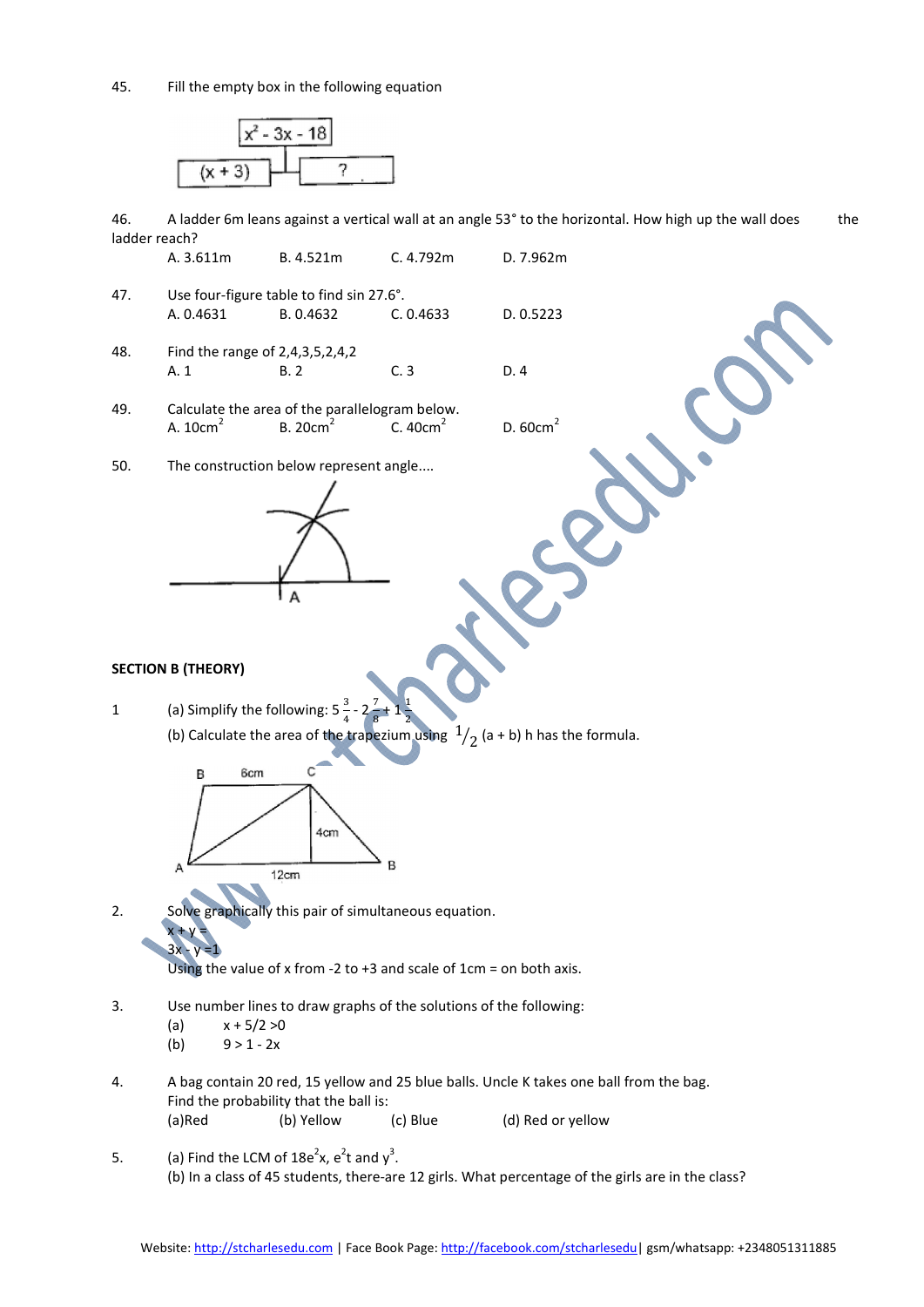45. Fill the empty box in the following equation



46. A ladder 6m leans against a vertical wall at an angle 53° to the horizontal. How high up the wall does the ladder reach?

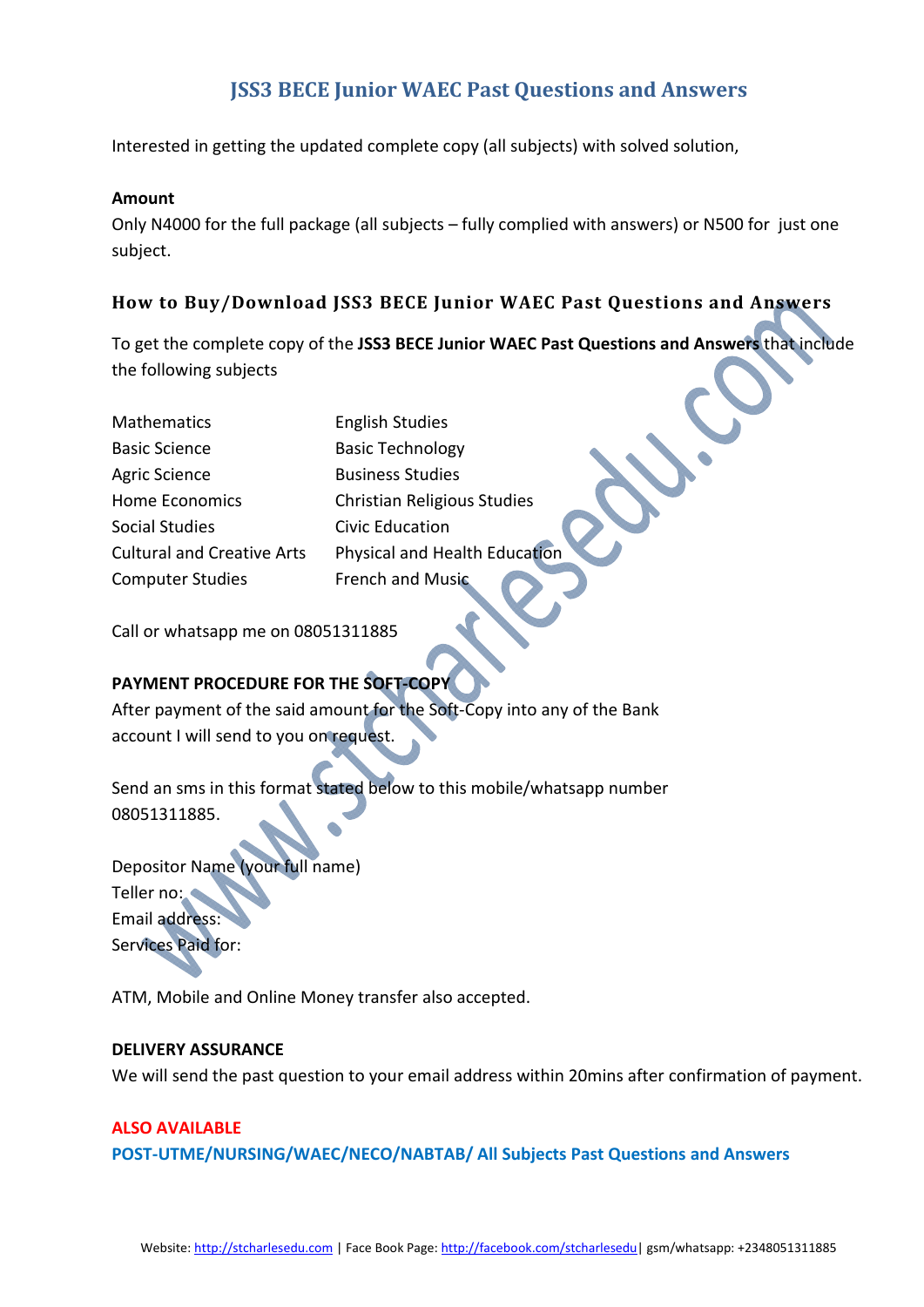# JSS3 BECE Junior WAEC Past Questions and Answers

Interested in getting the updated complete copy (all subjects) with solved solution,

#### Amount

Only N4000 for the full package (all subjects – fully complied with answers) or N500 for just one subject.

### How to Buy/Download JSS3 BECE Junior WAEC Past Questions and Answers

To get the complete copy of the JSS3 BECE Junior WAEC Past Questions and Answers that include the following subjects

| Mathematics                       | <b>English Studies</b>               |
|-----------------------------------|--------------------------------------|
| <b>Basic Science</b>              | <b>Basic Technology</b>              |
| <b>Agric Science</b>              | <b>Business Studies</b>              |
| <b>Home Economics</b>             | Christian Religious Studies          |
| <b>Social Studies</b>             | <b>Civic Education</b>               |
| <b>Cultural and Creative Arts</b> | <b>Physical and Health Education</b> |
| <b>Computer Studies</b>           | French and Music                     |

Call or whatsapp me on 08051311885

#### PAYMENT PROCEDURE FOR THE SOFT-COP

After payment of the said amount for the Soft-Copy into any of the Bank account I will send to you on request.

Send an sms in this format stated below to this mobile/whatsapp number 08051311885.

Depositor Name (your full name) Teller no: Email address: Services Paid for:

ATM, Mobile and Online Money transfer also accepted.

#### DELIVERY ASSURANCE

We will send the past question to your email address within 20mins after confirmation of payment.

#### ALSO AVAILABLE

POST-UTME/NURSING/WAEC/NECO/NABTAB/ All Subjects Past Questions and Answers